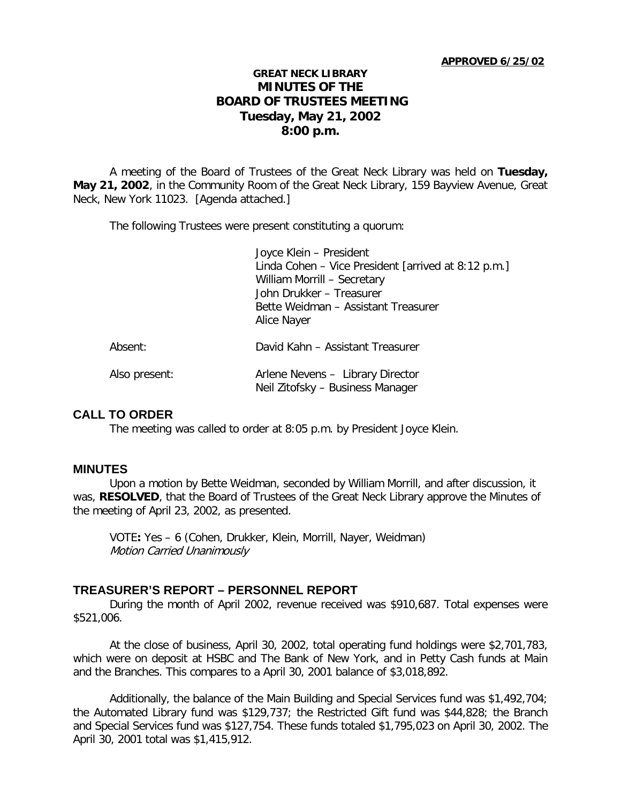#### **APPROVED 6/25/02**

## **GREAT NECK LIBRARY MINUTES OF THE BOARD OF TRUSTEES MEETING Tuesday, May 21, 2002 8:00 p.m.**

A meeting of the Board of Trustees of the Great Neck Library was held on **Tuesday, May 21, 2002**, in the Community Room of the Great Neck Library, 159 Bayview Avenue, Great Neck, New York 11023. [Agenda attached.]

The following Trustees were present constituting a quorum:

|               | Joyce Klein - President                                                        |
|---------------|--------------------------------------------------------------------------------|
|               | Linda Cohen - Vice President [arrived at 8:12 p.m.]                            |
|               | William Morrill - Secretary                                                    |
|               | John Drukker - Treasurer<br>Bette Weidman – Assistant Treasurer<br>Alice Nayer |
|               |                                                                                |
|               |                                                                                |
| Absent:       | David Kahn - Assistant Treasurer                                               |
| Also present: | Arlene Nevens - Library Director<br>Neil Zitofsky - Business Manager           |

## **CALL TO ORDER**

The meeting was called to order at 8:05 p.m. by President Joyce Klein.

#### **MINUTES**

Upon a motion by Bette Weidman, seconded by William Morrill, and after discussion, it was, **RESOLVED**, that the Board of Trustees of the Great Neck Library approve the Minutes of the meeting of April 23, 2002, as presented.

VOTE**:** Yes – 6 (Cohen, Drukker, Klein, Morrill, Nayer, Weidman) Motion Carried Unanimously

#### **TREASURER'S REPORT – PERSONNEL REPORT**

During the month of April 2002, revenue received was \$910,687. Total expenses were \$521,006.

At the close of business, April 30, 2002, total operating fund holdings were \$2,701,783, which were on deposit at HSBC and The Bank of New York, and in Petty Cash funds at Main and the Branches. This compares to a April 30, 2001 balance of \$3,018,892.

Additionally, the balance of the Main Building and Special Services fund was \$1,492,704; the Automated Library fund was \$129,737; the Restricted Gift fund was \$44,828; the Branch and Special Services fund was \$127,754. These funds totaled \$1,795,023 on April 30, 2002. The April 30, 2001 total was \$1,415,912.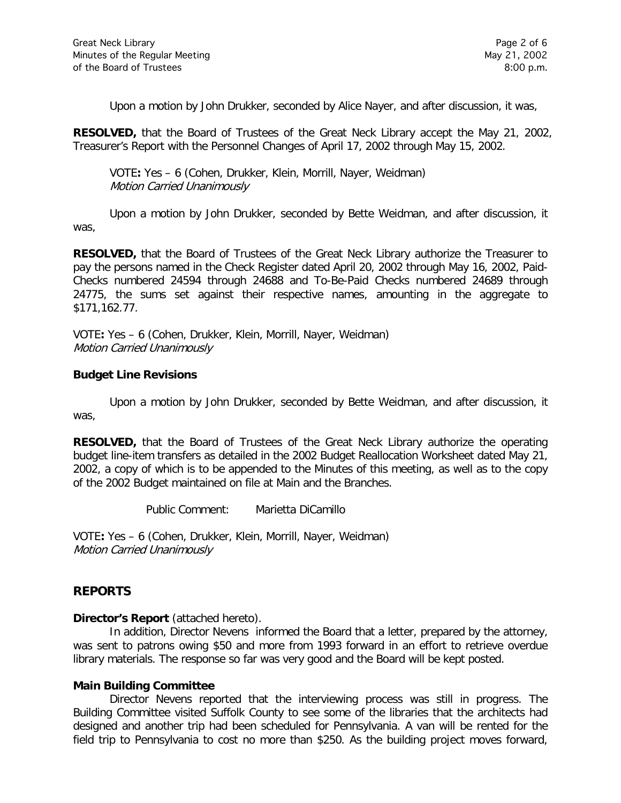Upon a motion by John Drukker, seconded by Alice Nayer, and after discussion, it was,

**RESOLVED,** that the Board of Trustees of the Great Neck Library accept the May 21, 2002, Treasurer's Report with the Personnel Changes of April 17, 2002 through May 15, 2002.

VOTE**:** Yes – 6 (Cohen, Drukker, Klein, Morrill, Nayer, Weidman) Motion Carried Unanimously

Upon a motion by John Drukker, seconded by Bette Weidman, and after discussion, it was,

**RESOLVED,** that the Board of Trustees of the Great Neck Library authorize the Treasurer to pay the persons named in the Check Register dated April 20, 2002 through May 16, 2002, Paid-Checks numbered 24594 through 24688 and To-Be-Paid Checks numbered 24689 through 24775, the sums set against their respective names, amounting in the aggregate to \$171,162.77.

VOTE**:** Yes – 6 (Cohen, Drukker, Klein, Morrill, Nayer, Weidman) Motion Carried Unanimously

### **Budget Line Revisions**

Upon a motion by John Drukker, seconded by Bette Weidman, and after discussion, it was,

**RESOLVED,** that the Board of Trustees of the Great Neck Library authorize the operating budget line-item transfers as detailed in the 2002 Budget Reallocation Worksheet dated May 21, 2002, a copy of which is to be appended to the Minutes of this meeting, as well as to the copy of the 2002 Budget maintained on file at Main and the Branches.

Public Comment: Marietta DiCamillo

VOTE**:** Yes – 6 (Cohen, Drukker, Klein, Morrill, Nayer, Weidman) Motion Carried Unanimously

# **REPORTS**

**Director's Report** (attached hereto).

In addition, Director Nevens informed the Board that a letter, prepared by the attorney, was sent to patrons owing \$50 and more from 1993 forward in an effort to retrieve overdue library materials. The response so far was very good and the Board will be kept posted.

#### **Main Building Committee**

Director Nevens reported that the interviewing process was still in progress. The Building Committee visited Suffolk County to see some of the libraries that the architects had designed and another trip had been scheduled for Pennsylvania. A van will be rented for the field trip to Pennsylvania to cost no more than \$250. As the building project moves forward,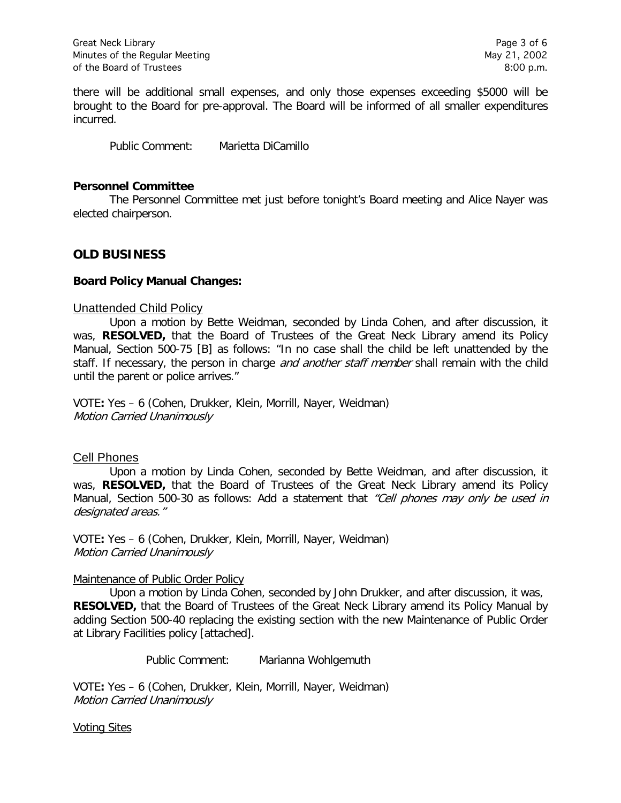there will be additional small expenses, and only those expenses exceeding \$5000 will be brought to the Board for pre-approval. The Board will be informed of all smaller expenditures incurred.

Public Comment: Marietta DiCamillo

#### **Personnel Committee**

The Personnel Committee met just before tonight's Board meeting and Alice Nayer was elected chairperson.

## **OLD BUSINESS**

#### **Board Policy Manual Changes:**

#### Unattended Child Policy

Upon a motion by Bette Weidman, seconded by Linda Cohen, and after discussion, it was, **RESOLVED,** that the Board of Trustees of the Great Neck Library amend its Policy Manual, Section 500-75 [B] as follows: "In no case shall the child be left unattended by the staff. If necessary, the person in charge *and another staff member* shall remain with the child until the parent or police arrives."

VOTE**:** Yes – 6 (Cohen, Drukker, Klein, Morrill, Nayer, Weidman) Motion Carried Unanimously

#### Cell Phones

Upon a motion by Linda Cohen, seconded by Bette Weidman, and after discussion, it was, **RESOLVED,** that the Board of Trustees of the Great Neck Library amend its Policy Manual, Section 500-30 as follows: Add a statement that "Cell phones may only be used in designated areas."

VOTE**:** Yes – 6 (Cohen, Drukker, Klein, Morrill, Nayer, Weidman) Motion Carried Unanimously

#### Maintenance of Public Order Policy

Upon a motion by Linda Cohen, seconded by John Drukker, and after discussion, it was, **RESOLVED,** that the Board of Trustees of the Great Neck Library amend its Policy Manual by adding Section 500-40 replacing the existing section with the new Maintenance of Public Order at Library Facilities policy [attached].

Public Comment: Marianna Wohlgemuth

VOTE**:** Yes – 6 (Cohen, Drukker, Klein, Morrill, Nayer, Weidman) Motion Carried Unanimously

#### Voting Sites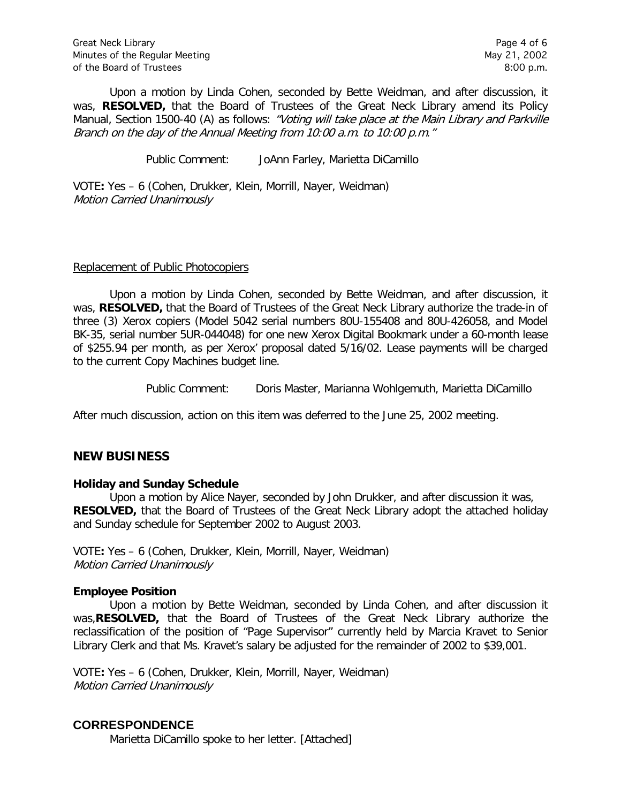Upon a motion by Linda Cohen, seconded by Bette Weidman, and after discussion, it was, **RESOLVED,** that the Board of Trustees of the Great Neck Library amend its Policy Manual, Section 1500-40 (A) as follows: "Voting will take place at the Main Library and Parkville Branch on the day of the Annual Meeting from 10:00 a.m. to 10:00 p.m."

Public Comment: JoAnn Farley, Marietta DiCamillo

VOTE**:** Yes – 6 (Cohen, Drukker, Klein, Morrill, Nayer, Weidman) Motion Carried Unanimously

#### Replacement of Public Photocopiers

Upon a motion by Linda Cohen, seconded by Bette Weidman, and after discussion, it was, **RESOLVED,** that the Board of Trustees of the Great Neck Library authorize the trade-in of three (3) Xerox copiers (Model 5042 serial numbers 80U-155408 and 80U-426058, and Model BK-35, serial number 5UR-044048) for one new Xerox Digital Bookmark under a 60-month lease of \$255.94 per month, as per Xerox' proposal dated 5/16/02. Lease payments will be charged to the current Copy Machines budget line.

Public Comment: Doris Master, Marianna Wohlgemuth, Marietta DiCamillo

After much discussion, action on this item was deferred to the June 25, 2002 meeting.

## **NEW BUSINESS**

#### **Holiday and Sunday Schedule**

Upon a motion by Alice Nayer, seconded by John Drukker, and after discussion it was, **RESOLVED,** that the Board of Trustees of the Great Neck Library adopt the attached holiday and Sunday schedule for September 2002 to August 2003.

VOTE**:** Yes – 6 (Cohen, Drukker, Klein, Morrill, Nayer, Weidman) Motion Carried Unanimously

## **Employee Position**

Upon a motion by Bette Weidman, seconded by Linda Cohen, and after discussion it was,**RESOLVED,** that the Board of Trustees of the Great Neck Library authorize the reclassification of the position of "Page Supervisor" currently held by Marcia Kravet to Senior Library Clerk and that Ms. Kravet's salary be adjusted for the remainder of 2002 to \$39,001.

VOTE**:** Yes – 6 (Cohen, Drukker, Klein, Morrill, Nayer, Weidman) Motion Carried Unanimously

# **CORRESPONDENCE**

Marietta DiCamillo spoke to her letter. [Attached]